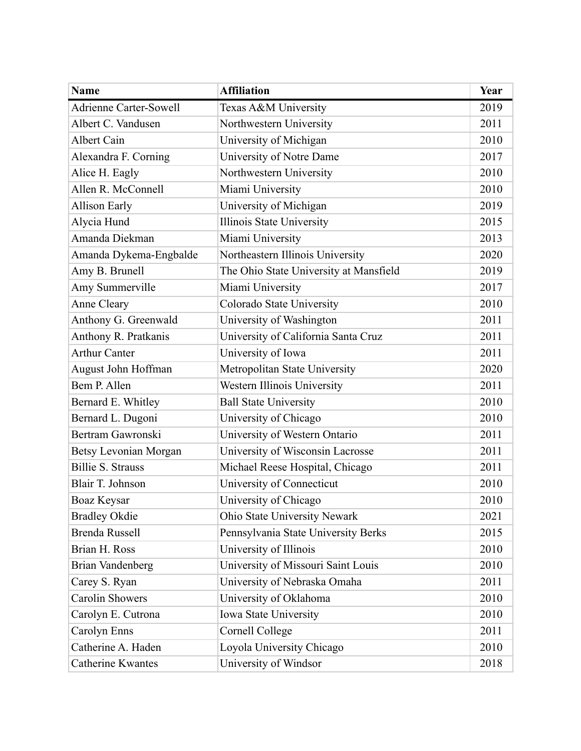| <b>Name</b>                   | <b>Affiliation</b>                     | Year |
|-------------------------------|----------------------------------------|------|
| <b>Adrienne Carter-Sowell</b> | Texas A&M University                   | 2019 |
| Albert C. Vandusen            | Northwestern University                | 2011 |
| Albert Cain                   | University of Michigan                 | 2010 |
| Alexandra F. Corning          | University of Notre Dame               | 2017 |
| Alice H. Eagly                | Northwestern University                | 2010 |
| Allen R. McConnell            | Miami University                       | 2010 |
| <b>Allison Early</b>          | University of Michigan                 | 2019 |
| Alycia Hund                   | Illinois State University              | 2015 |
| Amanda Diekman                | Miami University                       | 2013 |
| Amanda Dykema-Engbalde        | Northeastern Illinois University       | 2020 |
| Amy B. Brunell                | The Ohio State University at Mansfield | 2019 |
| Amy Summerville               | Miami University                       | 2017 |
| Anne Cleary                   | Colorado State University              | 2010 |
| Anthony G. Greenwald          | University of Washington               | 2011 |
| Anthony R. Pratkanis          | University of California Santa Cruz    | 2011 |
| <b>Arthur Canter</b>          | University of Iowa                     | 2011 |
| August John Hoffman           | Metropolitan State University          | 2020 |
| Bem P. Allen                  | Western Illinois University            | 2011 |
| Bernard E. Whitley            | <b>Ball State University</b>           | 2010 |
| Bernard L. Dugoni             | University of Chicago                  | 2010 |
| Bertram Gawronski             | University of Western Ontario          | 2011 |
| <b>Betsy Levonian Morgan</b>  | University of Wisconsin Lacrosse       | 2011 |
| <b>Billie S. Strauss</b>      | Michael Reese Hospital, Chicago        | 2011 |
| Blair T. Johnson              | University of Connecticut              | 2010 |
| Boaz Keysar                   | University of Chicago                  | 2010 |
| <b>Bradley Okdie</b>          | Ohio State University Newark           | 2021 |
| Brenda Russell                | Pennsylvania State University Berks    | 2015 |
| Brian H. Ross                 | University of Illinois                 | 2010 |
| <b>Brian Vandenberg</b>       | University of Missouri Saint Louis     | 2010 |
| Carey S. Ryan                 | University of Nebraska Omaha           | 2011 |
| <b>Carolin Showers</b>        | University of Oklahoma                 | 2010 |
| Carolyn E. Cutrona            | Iowa State University                  | 2010 |
| Carolyn Enns                  | Cornell College                        | 2011 |
| Catherine A. Haden            | Loyola University Chicago              | 2010 |
| Catherine Kwantes             | University of Windsor                  | 2018 |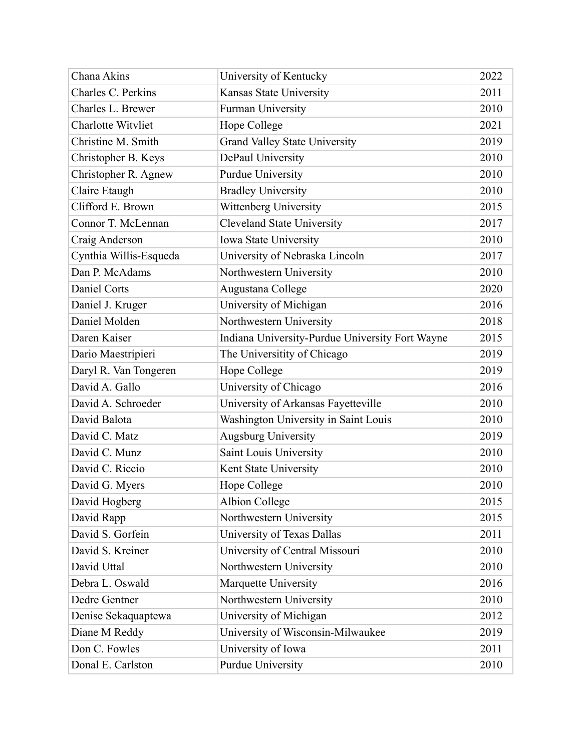| Chana Akins               | University of Kentucky                          | 2022 |
|---------------------------|-------------------------------------------------|------|
| Charles C. Perkins        | Kansas State University                         | 2011 |
| Charles L. Brewer         | Furman University                               | 2010 |
| <b>Charlotte Witvliet</b> | Hope College                                    | 2021 |
| Christine M. Smith        | <b>Grand Valley State University</b>            | 2019 |
| Christopher B. Keys       | DePaul University                               | 2010 |
| Christopher R. Agnew      | <b>Purdue University</b>                        | 2010 |
| Claire Etaugh             | <b>Bradley University</b>                       | 2010 |
| Clifford E. Brown         | Wittenberg University                           | 2015 |
| Connor T. McLennan        | <b>Cleveland State University</b>               | 2017 |
| Craig Anderson            | Iowa State University                           | 2010 |
| Cynthia Willis-Esqueda    | University of Nebraska Lincoln                  | 2017 |
| Dan P. McAdams            | Northwestern University                         | 2010 |
| <b>Daniel Corts</b>       | Augustana College                               | 2020 |
| Daniel J. Kruger          | University of Michigan                          | 2016 |
| Daniel Molden             | Northwestern University                         | 2018 |
| Daren Kaiser              | Indiana University-Purdue University Fort Wayne | 2015 |
| Dario Maestripieri        | The Universitity of Chicago                     | 2019 |
| Daryl R. Van Tongeren     | Hope College                                    | 2019 |
| David A. Gallo            | University of Chicago                           | 2016 |
| David A. Schroeder        | University of Arkansas Fayetteville             | 2010 |
| David Balota              | Washington University in Saint Louis            | 2010 |
| David C. Matz             | <b>Augsburg University</b>                      | 2019 |
| David C. Munz             | Saint Louis University                          | 2010 |
| David C. Riccio           | Kent State University                           | 2010 |
| David G. Myers            | Hope College                                    | 2010 |
| David Hogberg             | Albion College                                  | 2015 |
| David Rapp                | Northwestern University                         | 2015 |
| David S. Gorfein          | University of Texas Dallas                      | 2011 |
| David S. Kreiner          | University of Central Missouri                  | 2010 |
| David Uttal               | Northwestern University                         | 2010 |
| Debra L. Oswald           | Marquette University                            | 2016 |
| Dedre Gentner             | Northwestern University                         | 2010 |
| Denise Sekaquaptewa       | University of Michigan                          | 2012 |
| Diane M Reddy             | University of Wisconsin-Milwaukee               | 2019 |
| Don C. Fowles             | University of Iowa                              | 2011 |
| Donal E. Carlston         | <b>Purdue University</b>                        | 2010 |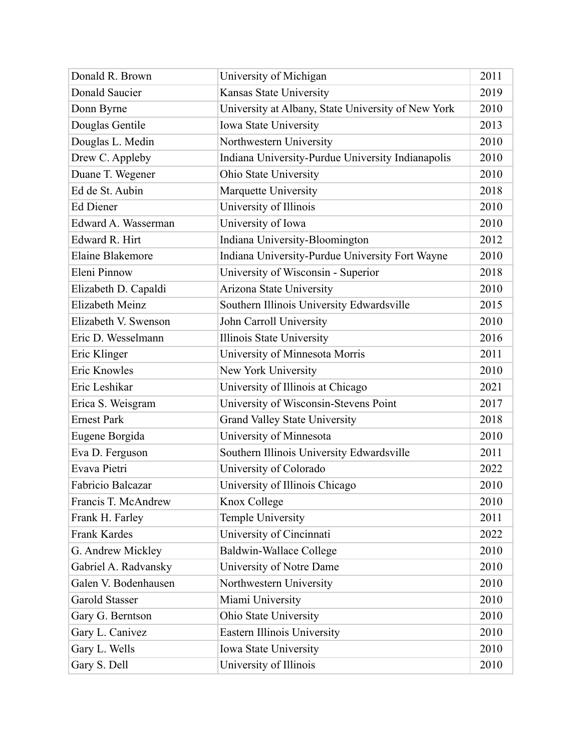| Donald R. Brown      | University of Michigan                             | 2011 |
|----------------------|----------------------------------------------------|------|
| Donald Saucier       | Kansas State University                            | 2019 |
| Donn Byrne           | University at Albany, State University of New York | 2010 |
| Douglas Gentile      | Iowa State University                              | 2013 |
| Douglas L. Medin     | Northwestern University                            | 2010 |
| Drew C. Appleby      | Indiana University-Purdue University Indianapolis  | 2010 |
| Duane T. Wegener     | Ohio State University                              | 2010 |
| Ed de St. Aubin      | Marquette University                               | 2018 |
| Ed Diener            | University of Illinois                             | 2010 |
| Edward A. Wasserman  | University of Iowa                                 | 2010 |
| Edward R. Hirt       | Indiana University-Bloomington                     | 2012 |
| Elaine Blakemore     | Indiana University-Purdue University Fort Wayne    | 2010 |
| Eleni Pinnow         | University of Wisconsin - Superior                 | 2018 |
| Elizabeth D. Capaldi | Arizona State University                           | 2010 |
| Elizabeth Meinz      | Southern Illinois University Edwardsville          | 2015 |
| Elizabeth V. Swenson | John Carroll University                            | 2010 |
| Eric D. Wesselmann   | Illinois State University                          | 2016 |
| Eric Klinger         | University of Minnesota Morris                     | 2011 |
| Eric Knowles         | New York University                                | 2010 |
| Eric Leshikar        | University of Illinois at Chicago                  | 2021 |
| Erica S. Weisgram    | University of Wisconsin-Stevens Point              | 2017 |
| <b>Ernest Park</b>   | Grand Valley State University                      | 2018 |
| Eugene Borgida       | University of Minnesota                            | 2010 |
| Eva D. Ferguson      | Southern Illinois University Edwardsville          | 2011 |
| Evava Pietri         | University of Colorado                             | 2022 |
| Fabricio Balcazar    | University of Illinois Chicago                     | 2010 |
| Francis T. McAndrew  | Knox College                                       | 2010 |
| Frank H. Farley      | Temple University                                  | 2011 |
| <b>Frank Kardes</b>  | University of Cincinnati                           | 2022 |
| G. Andrew Mickley    | <b>Baldwin-Wallace College</b>                     | 2010 |
| Gabriel A. Radvansky | University of Notre Dame                           | 2010 |
| Galen V. Bodenhausen | Northwestern University                            | 2010 |
| Garold Stasser       | Miami University                                   | 2010 |
| Gary G. Berntson     | Ohio State University                              | 2010 |
| Gary L. Canivez      | Eastern Illinois University                        | 2010 |
| Gary L. Wells        | Iowa State University                              | 2010 |
| Gary S. Dell         | University of Illinois                             | 2010 |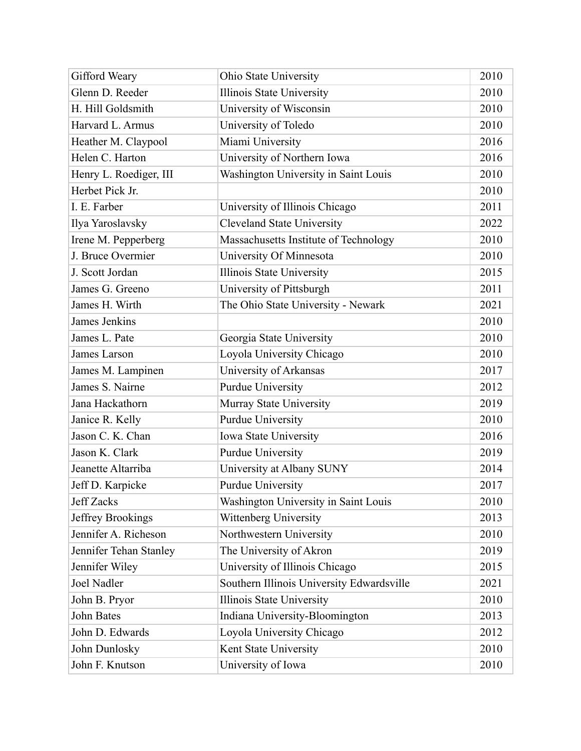| Gifford Weary          | Ohio State University                     | 2010 |
|------------------------|-------------------------------------------|------|
| Glenn D. Reeder        | Illinois State University                 | 2010 |
| H. Hill Goldsmith      | University of Wisconsin                   | 2010 |
| Harvard L. Armus       | University of Toledo                      | 2010 |
| Heather M. Claypool    | Miami University                          | 2016 |
| Helen C. Harton        | University of Northern Iowa               | 2016 |
| Henry L. Roediger, III | Washington University in Saint Louis      | 2010 |
| Herbet Pick Jr.        |                                           | 2010 |
| I. E. Farber           | University of Illinois Chicago            | 2011 |
| Ilya Yaroslavsky       | <b>Cleveland State University</b>         | 2022 |
| Irene M. Pepperberg    | Massachusetts Institute of Technology     | 2010 |
| J. Bruce Overmier      | University Of Minnesota                   | 2010 |
| J. Scott Jordan        | Illinois State University                 | 2015 |
| James G. Greeno        | University of Pittsburgh                  | 2011 |
| James H. Wirth         | The Ohio State University - Newark        | 2021 |
| James Jenkins          |                                           | 2010 |
| James L. Pate          | Georgia State University                  | 2010 |
| James Larson           | Loyola University Chicago                 | 2010 |
| James M. Lampinen      | University of Arkansas                    | 2017 |
| James S. Nairne        | <b>Purdue University</b>                  | 2012 |
| Jana Hackathorn        | Murray State University                   | 2019 |
| Janice R. Kelly        | Purdue University                         | 2010 |
| Jason C. K. Chan       | Iowa State University                     | 2016 |
| Jason K. Clark         | <b>Purdue University</b>                  | 2019 |
| Jeanette Altarriba     | University at Albany SUNY                 | 2014 |
| Jeff D. Karpicke       | <b>Purdue University</b>                  | 2017 |
| <b>Jeff Zacks</b>      | Washington University in Saint Louis      | 2010 |
| Jeffrey Brookings      | Wittenberg University                     | 2013 |
| Jennifer A. Richeson   | Northwestern University                   | 2010 |
| Jennifer Tehan Stanley | The University of Akron                   | 2019 |
| Jennifer Wiley         | University of Illinois Chicago            | 2015 |
| <b>Joel Nadler</b>     | Southern Illinois University Edwardsville | 2021 |
| John B. Pryor          | Illinois State University                 | 2010 |
| John Bates             | Indiana University-Bloomington            | 2013 |
| John D. Edwards        | Loyola University Chicago                 | 2012 |
| John Dunlosky          | Kent State University                     | 2010 |
| John F. Knutson        | University of Iowa                        | 2010 |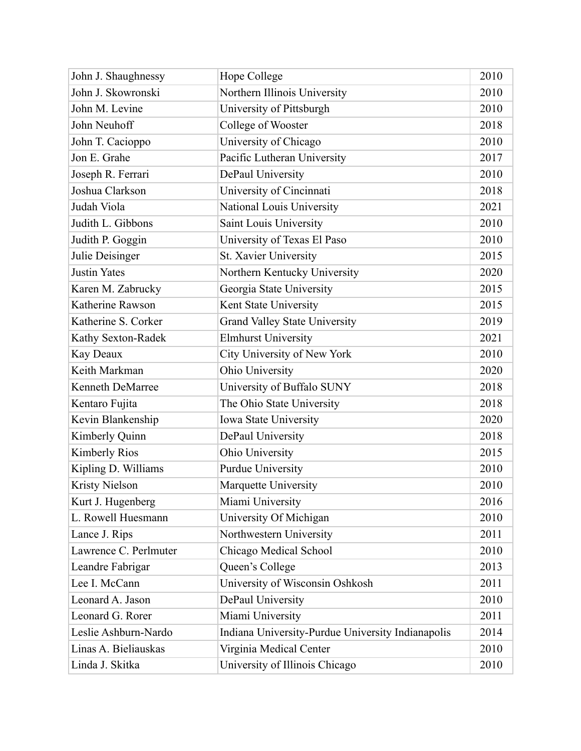| John J. Shaughnessy     | Hope College                                      | 2010 |
|-------------------------|---------------------------------------------------|------|
| John J. Skowronski      | Northern Illinois University                      | 2010 |
| John M. Levine          | University of Pittsburgh                          | 2010 |
| John Neuhoff            | College of Wooster                                | 2018 |
| John T. Cacioppo        | University of Chicago                             | 2010 |
| Jon E. Grahe            | Pacific Lutheran University                       | 2017 |
| Joseph R. Ferrari       | DePaul University                                 | 2010 |
| Joshua Clarkson         | University of Cincinnati                          | 2018 |
| Judah Viola             | National Louis University                         | 2021 |
| Judith L. Gibbons       | Saint Louis University                            | 2010 |
| Judith P. Goggin        | University of Texas El Paso                       | 2010 |
| Julie Deisinger         | St. Xavier University                             | 2015 |
| <b>Justin Yates</b>     | Northern Kentucky University                      | 2020 |
| Karen M. Zabrucky       | Georgia State University                          | 2015 |
| Katherine Rawson        | Kent State University                             | 2015 |
| Katherine S. Corker     | <b>Grand Valley State University</b>              | 2019 |
| Kathy Sexton-Radek      | <b>Elmhurst University</b>                        | 2021 |
| Kay Deaux               | City University of New York                       | 2010 |
| Keith Markman           | Ohio University                                   | 2020 |
| <b>Kenneth DeMarree</b> | University of Buffalo SUNY                        | 2018 |
| Kentaro Fujita          | The Ohio State University                         | 2018 |
| Kevin Blankenship       | Iowa State University                             | 2020 |
| Kimberly Quinn          | DePaul University                                 | 2018 |
| <b>Kimberly Rios</b>    | Ohio University                                   | 2015 |
| Kipling D. Williams     | <b>Purdue University</b>                          | 2010 |
| <b>Kristy Nielson</b>   | Marquette University                              | 2010 |
| Kurt J. Hugenberg       | Miami University                                  | 2016 |
| L. Rowell Huesmann      | University Of Michigan                            | 2010 |
| Lance J. Rips           | Northwestern University                           | 2011 |
| Lawrence C. Perlmuter   | Chicago Medical School                            | 2010 |
| Leandre Fabrigar        | Queen's College                                   | 2013 |
| Lee I. McCann           | University of Wisconsin Oshkosh                   | 2011 |
| Leonard A. Jason        | DePaul University                                 | 2010 |
| Leonard G. Rorer        | Miami University                                  | 2011 |
| Leslie Ashburn-Nardo    | Indiana University-Purdue University Indianapolis | 2014 |
| Linas A. Bieliauskas    | Virginia Medical Center                           | 2010 |
| Linda J. Skitka         | University of Illinois Chicago                    | 2010 |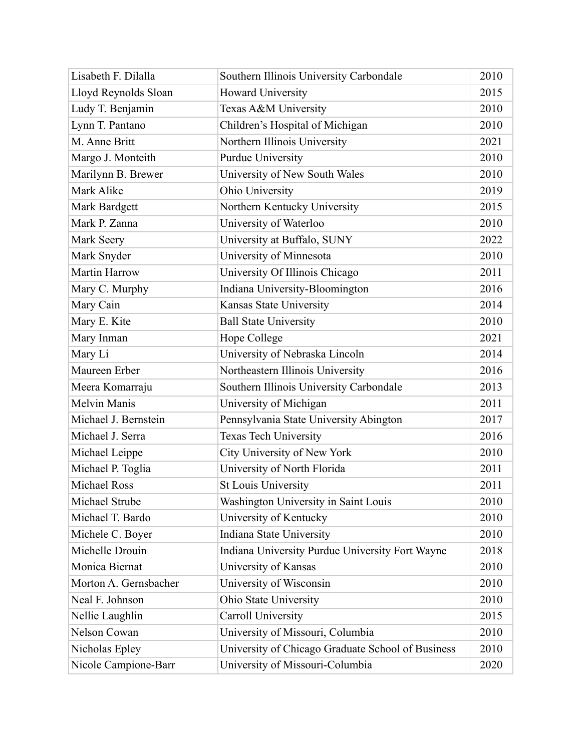| Lisabeth F. Dilalla   | Southern Illinois University Carbondale           | 2010 |
|-----------------------|---------------------------------------------------|------|
| Lloyd Reynolds Sloan  | Howard University                                 | 2015 |
| Ludy T. Benjamin      | Texas A&M University                              | 2010 |
| Lynn T. Pantano       | Children's Hospital of Michigan                   | 2010 |
| M. Anne Britt         | Northern Illinois University                      | 2021 |
| Margo J. Monteith     | <b>Purdue University</b>                          | 2010 |
| Marilynn B. Brewer    | University of New South Wales                     | 2010 |
| Mark Alike            | Ohio University                                   | 2019 |
| Mark Bardgett         | Northern Kentucky University                      | 2015 |
| Mark P. Zanna         | University of Waterloo                            | 2010 |
| Mark Seery            | University at Buffalo, SUNY                       | 2022 |
| Mark Snyder           | University of Minnesota                           | 2010 |
| <b>Martin Harrow</b>  | University Of Illinois Chicago                    | 2011 |
| Mary C. Murphy        | Indiana University-Bloomington                    | 2016 |
| Mary Cain             | Kansas State University                           | 2014 |
| Mary E. Kite          | <b>Ball State University</b>                      | 2010 |
| Mary Inman            | Hope College                                      | 2021 |
| Mary Li               | University of Nebraska Lincoln                    | 2014 |
| Maureen Erber         | Northeastern Illinois University                  | 2016 |
| Meera Komarraju       | Southern Illinois University Carbondale           | 2013 |
| <b>Melvin Manis</b>   | University of Michigan                            | 2011 |
| Michael J. Bernstein  | Pennsylvania State University Abington            | 2017 |
| Michael J. Serra      | <b>Texas Tech University</b>                      | 2016 |
| Michael Leippe        | City University of New York                       | 2010 |
| Michael P. Toglia     | University of North Florida                       | 2011 |
| <b>Michael Ross</b>   | <b>St Louis University</b>                        | 2011 |
| Michael Strube        | Washington University in Saint Louis              | 2010 |
| Michael T. Bardo      | University of Kentucky                            | 2010 |
| Michele C. Boyer      | Indiana State University                          | 2010 |
| Michelle Drouin       | Indiana University Purdue University Fort Wayne   | 2018 |
| Monica Biernat        | University of Kansas                              | 2010 |
| Morton A. Gernsbacher | University of Wisconsin                           | 2010 |
| Neal F. Johnson       | Ohio State University                             | 2010 |
| Nellie Laughlin       | Carroll University                                | 2015 |
| Nelson Cowan          | University of Missouri, Columbia                  | 2010 |
| Nicholas Epley        | University of Chicago Graduate School of Business | 2010 |
| Nicole Campione-Barr  | University of Missouri-Columbia                   | 2020 |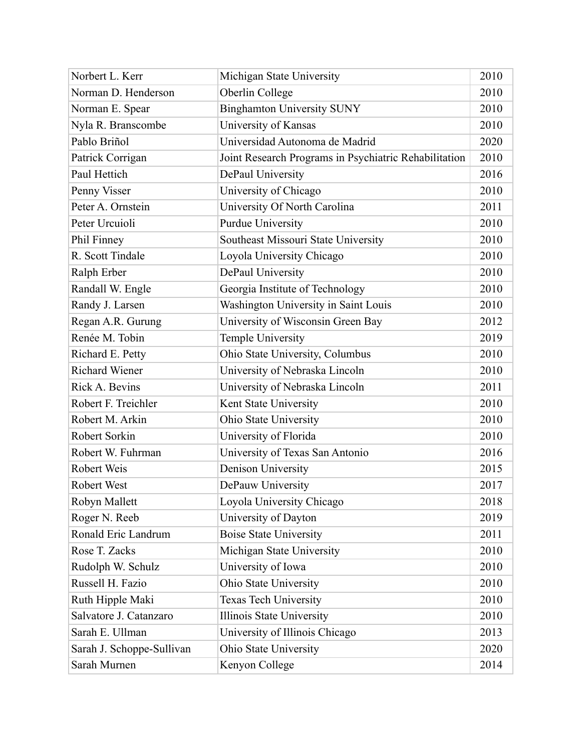| Norbert L. Kerr           | Michigan State University                             | 2010 |
|---------------------------|-------------------------------------------------------|------|
| Norman D. Henderson       | Oberlin College                                       | 2010 |
| Norman E. Spear           | <b>Binghamton University SUNY</b>                     | 2010 |
| Nyla R. Branscombe        | University of Kansas                                  | 2010 |
| Pablo Briñol              | Universidad Autonoma de Madrid                        | 2020 |
| Patrick Corrigan          | Joint Research Programs in Psychiatric Rehabilitation | 2010 |
| Paul Hettich              | DePaul University                                     | 2016 |
| Penny Visser              | University of Chicago                                 | 2010 |
| Peter A. Ornstein         | University Of North Carolina                          | 2011 |
| Peter Urcuioli            | <b>Purdue University</b>                              | 2010 |
| Phil Finney               | Southeast Missouri State University                   | 2010 |
| R. Scott Tindale          | Loyola University Chicago                             | 2010 |
| Ralph Erber               | DePaul University                                     | 2010 |
| Randall W. Engle          | Georgia Institute of Technology                       | 2010 |
| Randy J. Larsen           | Washington University in Saint Louis                  | 2010 |
| Regan A.R. Gurung         | University of Wisconsin Green Bay                     | 2012 |
| Renée M. Tobin            | Temple University                                     | 2019 |
| Richard E. Petty          | Ohio State University, Columbus                       | 2010 |
| <b>Richard Wiener</b>     | University of Nebraska Lincoln                        | 2010 |
| Rick A. Bevins            | University of Nebraska Lincoln                        | 2011 |
| Robert F. Treichler       | Kent State University                                 | 2010 |
| Robert M. Arkin           | Ohio State University                                 | 2010 |
| Robert Sorkin             | University of Florida                                 | 2010 |
| Robert W. Fuhrman         | University of Texas San Antonio                       | 2016 |
| Robert Weis               | Denison University                                    | 2015 |
| <b>Robert West</b>        | DePauw University                                     | 2017 |
| Robyn Mallett             | Loyola University Chicago                             | 2018 |
| Roger N. Reeb             | University of Dayton                                  | 2019 |
| Ronald Eric Landrum       | <b>Boise State University</b>                         | 2011 |
| Rose T. Zacks             | Michigan State University                             | 2010 |
| Rudolph W. Schulz         | University of Iowa                                    | 2010 |
| Russell H. Fazio          | Ohio State University                                 | 2010 |
| Ruth Hipple Maki          | Texas Tech University                                 | 2010 |
| Salvatore J. Catanzaro    | Illinois State University                             | 2010 |
| Sarah E. Ullman           | University of Illinois Chicago                        | 2013 |
| Sarah J. Schoppe-Sullivan | Ohio State University                                 | 2020 |
| Sarah Murnen              | Kenyon College                                        | 2014 |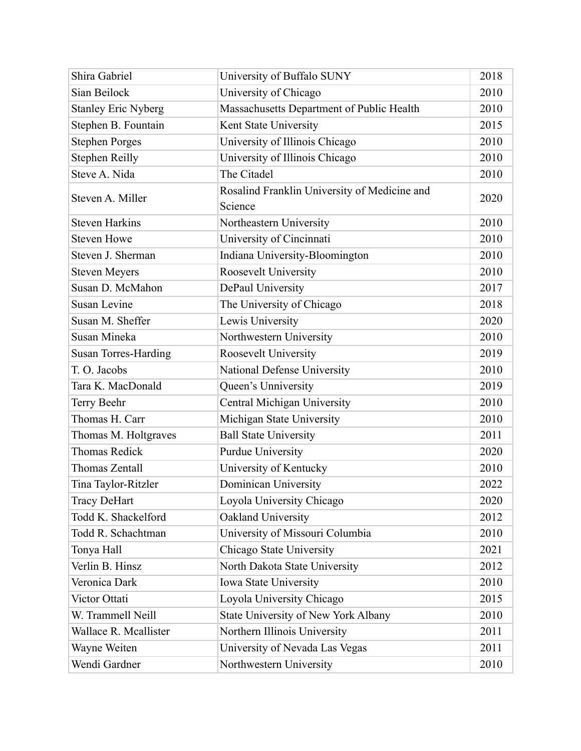| Shira Gabriel               | University of Buffalo SUNY                              | 2018 |
|-----------------------------|---------------------------------------------------------|------|
| Sian Beilock                | University of Chicago                                   | 2010 |
| <b>Stanley Eric Nyberg</b>  | Massachusetts Department of Public Health               | 2010 |
| Stephen B. Fountain         | Kent State University                                   | 2015 |
| <b>Stephen Porges</b>       | University of Illinois Chicago                          | 2010 |
| <b>Stephen Reilly</b>       | University of Illinois Chicago                          | 2010 |
| Steve A. Nida               | The Citadel                                             | 2010 |
| Steven A. Miller            | Rosalind Franklin University of Medicine and<br>Science | 2020 |
| <b>Steven Harkins</b>       | Northeastern University                                 | 2010 |
| <b>Steven Howe</b>          | University of Cincinnati                                | 2010 |
| Steven J. Sherman           | Indiana University-Bloomington                          | 2010 |
| <b>Steven Meyers</b>        | Roosevelt University                                    | 2010 |
| Susan D. McMahon            | DePaul University                                       | 2017 |
| <b>Susan Levine</b>         | The University of Chicago                               | 2018 |
| Susan M. Sheffer            | Lewis University                                        | 2020 |
| Susan Mineka                | Northwestern University                                 | 2010 |
| <b>Susan Torres-Harding</b> | Roosevelt University                                    | 2019 |
| T. O. Jacobs                | National Defense University                             | 2010 |
| Tara K. MacDonald           | Queen's Unniversity                                     | 2019 |
| Terry Beehr                 | Central Michigan University                             | 2010 |
| Thomas H. Carr              | Michigan State University                               | 2010 |
| Thomas M. Holtgraves        | <b>Ball State University</b>                            | 2011 |
| <b>Thomas Redick</b>        | <b>Purdue University</b>                                | 2020 |
| Thomas Zentall              | University of Kentucky                                  | 2010 |
| Tina Taylor-Ritzler         | Dominican University                                    | 2022 |
| <b>Tracy DeHart</b>         | Loyola University Chicago                               | 2020 |
| Todd K. Shackelford         | Oakland University                                      | 2012 |
| Todd R. Schachtman          | University of Missouri Columbia                         | 2010 |
| Tonya Hall                  | Chicago State University                                | 2021 |
| Verlin B. Hinsz             | North Dakota State University                           | 2012 |
| Veronica Dark               | Iowa State University                                   | 2010 |
| Victor Ottati               | Loyola University Chicago                               | 2015 |
| W. Trammell Neill           | State University of New York Albany                     | 2010 |
| Wallace R. Mcallister       | Northern Illinois University                            | 2011 |
| Wayne Weiten                | University of Nevada Las Vegas                          | 2011 |
| Wendi Gardner               | Northwestern University                                 | 2010 |